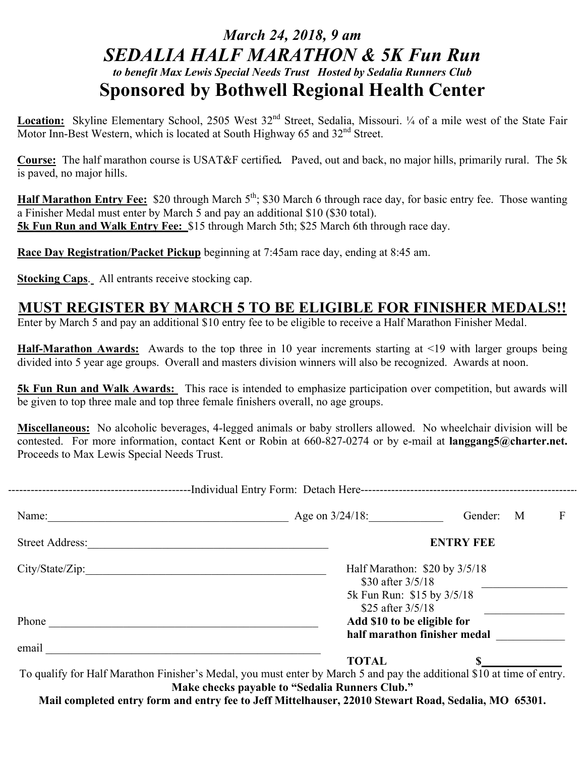## *March 24, 2018, 9 am SEDALIA HALF MARATHON & 5K Fun Run to benefit Max Lewis Special Needs Trust Hosted by Sedalia Runners Club* **Sponsored by Bothwell Regional Health Center**

Location: Skyline Elementary School, 2505 West 32<sup>nd</sup> Street, Sedalia, Missouri. 1/4 of a mile west of the State Fair Motor Inn-Best Western, which is located at South Highway  $65$  and  $32<sup>nd</sup>$  Street.

**Course:** The half marathon course is USAT&F certified*.* Paved, out and back, no major hills, primarily rural. The 5k is paved, no major hills.

**Half Marathon Entry Fee:** \$20 through March 5<sup>th</sup>; \$30 March 6 through race day, for basic entry fee. Those wanting a Finisher Medal must enter by March 5 and pay an additional \$10 (\$30 total). **5k Fun Run and Walk Entry Fee:** \$15 through March 5th; \$25 March 6th through race day.

**Race Day Registration/Packet Pickup** beginning at 7:45am race day, ending at 8:45 am.

**Stocking Caps**.All entrants receive stocking cap.

## **MUST REGISTER BY MARCH 5 TO BE ELIGIBLE FOR FINISHER MEDALS!!**

Enter by March 5 and pay an additional \$10 entry fee to be eligible to receive a Half Marathon Finisher Medal.

**Half-Marathon Awards:** Awards to the top three in 10 year increments starting at <19 with larger groups being divided into 5 year age groups. Overall and masters division winners will also be recognized. Awards at noon.

**5k Fun Run and Walk Awards:** This race is intended to emphasize participation over competition, but awards will be given to top three male and top three female finishers overall, no age groups.

**Miscellaneous:** No alcoholic beverages, 4-legged animals or baby strollers allowed. No wheelchair division will be contested. For more information, contact Kent or Robin at 660-827-0274 or by e-mail at **langgang5@charter.net.** Proceeds to Max Lewis Special Needs Trust.

| Name:           | Age on $3/24/18$ :                                    | F<br>Gender:<br>M |
|-----------------|-------------------------------------------------------|-------------------|
| Street Address: | <b>ENTRY FEE</b>                                      |                   |
|                 | Half Marathon: $$20$ by $3/5/18$<br>\$30 after 3/5/18 |                   |
|                 | 5k Fun Run: \$15 by 3/5/18<br>\$25 after 3/5/18       |                   |
| Phone           | Add \$10 to be eligible for                           |                   |
|                 | half marathon finisher medal                          |                   |

To qualify for Half Marathon Finisher's Medal, you must enter by March 5 and pay the additional \$10 at time of entry. **Make checks payable to "Sedalia Runners Club."**

**Mail completed entry form and entry fee to Jeff Mittelhauser, 22010 Stewart Road, Sedalia, MO 65301.**